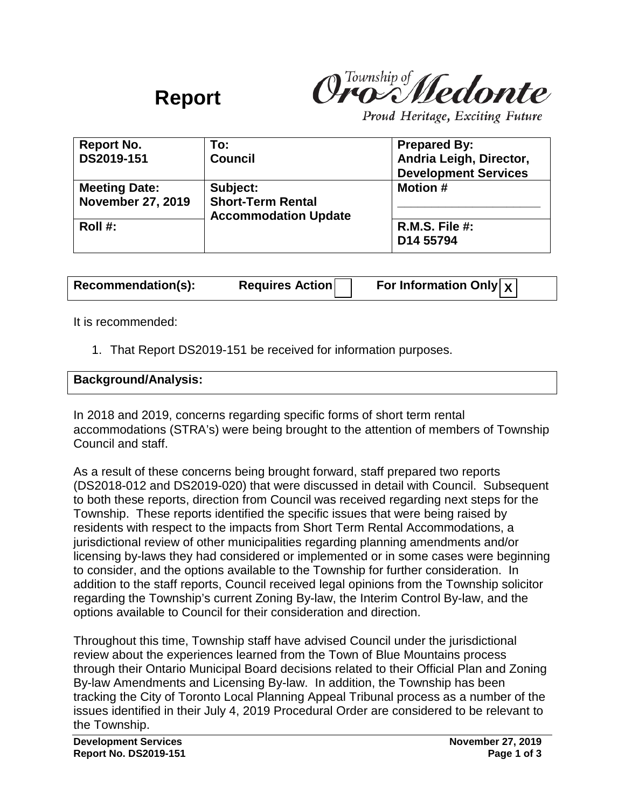

Proud Heritage, Exciting Future

| <b>Report No.</b>        | To:                                                     | <b>Prepared By:</b>         |
|--------------------------|---------------------------------------------------------|-----------------------------|
| DS2019-151               | <b>Council</b>                                          | Andria Leigh, Director,     |
|                          |                                                         | <b>Development Services</b> |
| <b>Meeting Date:</b>     | Subject:                                                | <b>Motion #</b>             |
| <b>November 27, 2019</b> | <b>Short-Term Rental</b><br><b>Accommodation Update</b> |                             |
| Roll $#$ :               |                                                         | $R.M.S.$ File #:            |
|                          |                                                         | D14 55794                   |

**Recommendation(s): Requires Action For Information Only X**

It is recommended:

1. That Report DS2019-151 be received for information purposes.

**Background/Analysis:**

**Report**

In 2018 and 2019, concerns regarding specific forms of short term rental accommodations (STRA's) were being brought to the attention of members of Township Council and staff.

As a result of these concerns being brought forward, staff prepared two reports (DS2018-012 and DS2019-020) that were discussed in detail with Council. Subsequent to both these reports, direction from Council was received regarding next steps for the Township. These reports identified the specific issues that were being raised by residents with respect to the impacts from Short Term Rental Accommodations, a jurisdictional review of other municipalities regarding planning amendments and/or licensing by-laws they had considered or implemented or in some cases were beginning to consider, and the options available to the Township for further consideration. In addition to the staff reports, Council received legal opinions from the Township solicitor regarding the Township's current Zoning By-law, the Interim Control By-law, and the options available to Council for their consideration and direction.

Throughout this time, Township staff have advised Council under the jurisdictional review about the experiences learned from the Town of Blue Mountains process through their Ontario Municipal Board decisions related to their Official Plan and Zoning By-law Amendments and Licensing By-law. In addition, the Township has been tracking the City of Toronto Local Planning Appeal Tribunal process as a number of the issues identified in their July 4, 2019 Procedural Order are considered to be relevant to the Township.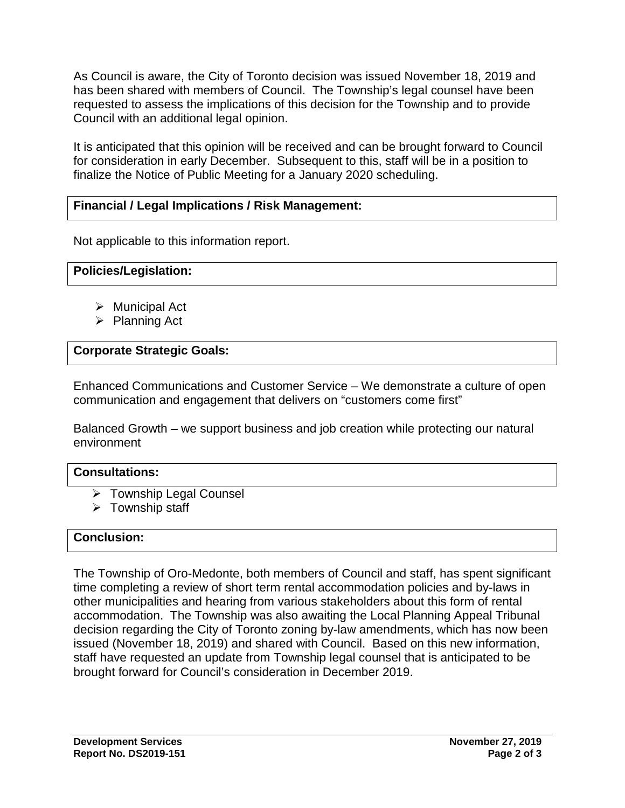As Council is aware, the City of Toronto decision was issued November 18, 2019 and has been shared with members of Council. The Township's legal counsel have been requested to assess the implications of this decision for the Township and to provide Council with an additional legal opinion.

It is anticipated that this opinion will be received and can be brought forward to Council for consideration in early December. Subsequent to this, staff will be in a position to finalize the Notice of Public Meeting for a January 2020 scheduling.

# **Financial / Legal Implications / Risk Management:**

Not applicable to this information report.

## **Policies/Legislation:**

- $\triangleright$  Municipal Act
- $\triangleright$  Planning Act

## **Corporate Strategic Goals:**

Enhanced Communications and Customer Service – We demonstrate a culture of open communication and engagement that delivers on "customers come first"

Balanced Growth – we support business and job creation while protecting our natural environment

### **Consultations:**

- **▶ Township Legal Counsel**
- $\triangleright$  Township staff

## **Conclusion:**

The Township of Oro-Medonte, both members of Council and staff, has spent significant time completing a review of short term rental accommodation policies and by-laws in other municipalities and hearing from various stakeholders about this form of rental accommodation. The Township was also awaiting the Local Planning Appeal Tribunal decision regarding the City of Toronto zoning by-law amendments, which has now been issued (November 18, 2019) and shared with Council. Based on this new information, staff have requested an update from Township legal counsel that is anticipated to be brought forward for Council's consideration in December 2019.